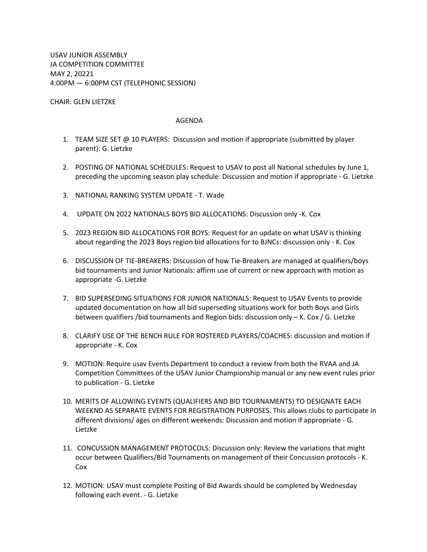USAV JUNIOR ASSEMBLY JA COMPETITION COMMITTEE MAY 2, 20221 4:00PM — 6:00PM CST (TELEPHONIC SESSION)

CHAIR: GLEN LIETZKE

## AGENDA

- 1. TEAM SIZE SET @ 10 PLAYERS: Discussion and motion if appropriate (submitted by player parent): G. Lietzke
- 2. POSTING OF NATIONAL SCHEDULES: Request to USAV to post all National schedules by June 1, preceding the upcoming season play schedule: Discussion and motion if appropriate - G. Lietzke
- 3. NATIONAL RANKING SYSTEM UPDATE T. Wade
- 4. UPDATE ON 2022 NATIONALS BOYS BID ALLOCATIONS: Discussion only -K. Cox
- 5. 2023 REGION BID ALLOCATIONS FOR BOYS: Request for an update on what USAV is thinking about regarding the 2023 Boys region bid allocations for to BJNCs: discussion only - K. Cox
- 6. DISCUSSION OF TIE-BREAKERS: Discussion of how Tie-Breakers are managed at qualifiers/boys bid tournaments and Junior Nationals: affirm use of current or new approach with motion as appropriate -G. Lietzke
- 7. BID SUPERSEDING SITUATIONS FOR JUNIOR NATIONALS: Request to USAV Events to provide updated documentation on how all bid superseding situations work for both Boys and Girls between qualifiers /bid tournaments and Region bids: discussion only  $-$  K. Cox / G. Lietzke
- 8. CLARIFY USE OF THE BENCH RULE FOR ROSTERED PLAYERS/COACHES: discussion and motion if appropriate - K. Cox
- 9. MOTION: Require usav Events Department to conduct a review from both the RVAA and JA Competition Committees of the USAV Junior Championship manual or any new event rules prior to publication - G. Lietzke
- 10. MERITS OF ALLOWING EVENTS (QUALIFIERS AND BID TOURNAMENTS) TO DESIGNATE EACH WEEKND AS SEPARATE EVENTS FOR REGISTRATION PURPOSES. This allows clubs to participate in different divisions/ ages on different weekends: Discussion and motion if appropriate - G. Lietzke
- 11. CONCUSSION MANAGEMENT PROTOCOLS: Discussion only: Review the variations that might occur between Qualifiers/Bid Tournaments on management of their Concussion protocols - K. Cox
- 12. MOTION: USAV must complete Posting of Bid Awards should be completed by Wednesday following each event. - G. Lietzke